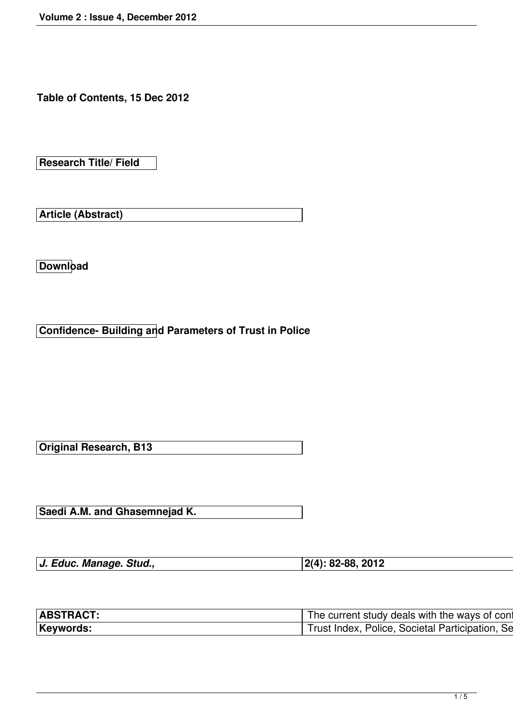**Table of Contents, 15 Dec 2012**

**Research Title/ Field**

**Article (Abstract)**

**Download**

**Confidence- Building and Parameters of Trust in Police**

**Original Research, B13**

**Saedi A.M. and Ghasemnejad K.**

| J. Educ. Manage. Stud., | $ 2(4): 82-88, 2012$ |
|-------------------------|----------------------|
|                         |                      |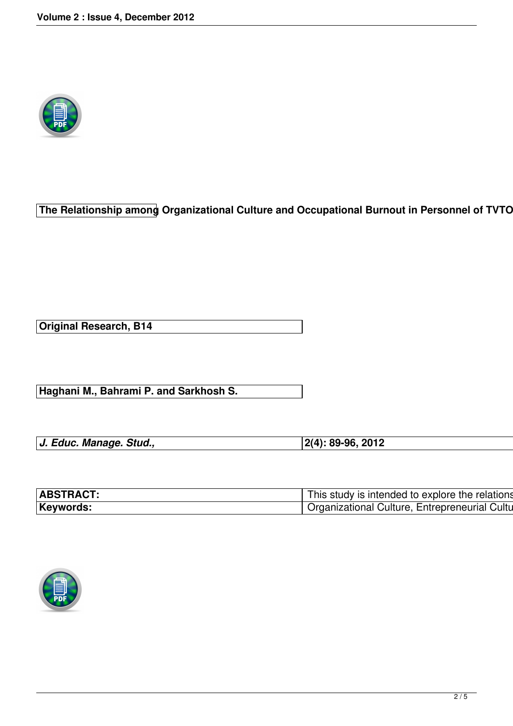

**The Relationship among Organizational Culture and Occupational Burnout in Personnel of TVTO** 

**Original Research, B14**

**Haghani M., Bahrami P. and Sarkhosh S.**

| J. Educ. Manage. Stud., | $ 2(4): 89-96, 2012$ |
|-------------------------|----------------------|

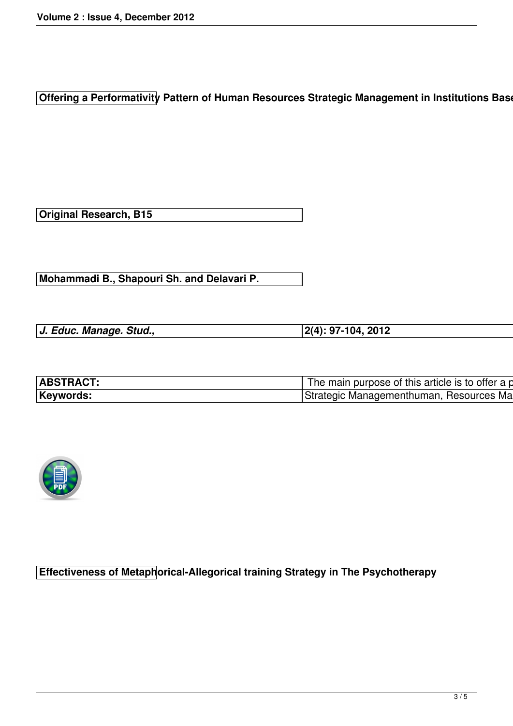**Offering a Performativity Pattern of Human Resources Strategic Management in Institutions Base** 

**Original Research, B15**

**Mohammadi B., Shapouri Sh. and Delavari P.**

*J. Educ. Manage. Stud.,* **2(4): 97-104, 2012**

| ,我们也不会有什么。""我们的人,我们也不会有什么?""我们的人,我们也不会有什么?""我们的人,我们也不会有什么?""我们的人,我们也不会有什么?""我们的人 |
|----------------------------------------------------------------------------------|



**Effectiveness of Metaphorical-Allegorical training Strategy in The Psychotherapy**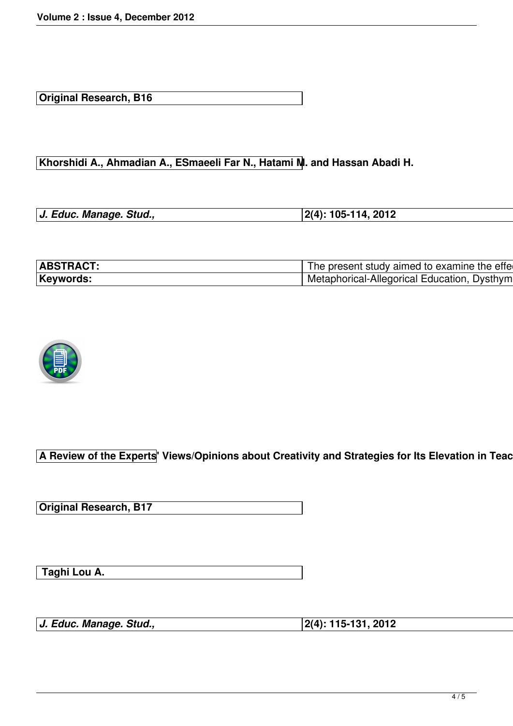**Original Research, B16**

**Khorshidi A., Ahmadian A., ESmaeeli Far N., Hatami M. and Hassan Abadi H.** 

| J. Educ. Manage. Stud., | $ 2(4): 105-114, 2012$ |
|-------------------------|------------------------|



**A Review of the Experts' Views/Opinions about Creativity and Strategies for Its Elevation in Teach** 

**Original Research, B17**

 **Taghi Lou A.**

*J. Educ. Manage. Stud.,* **2(4): 115-131, 2012**